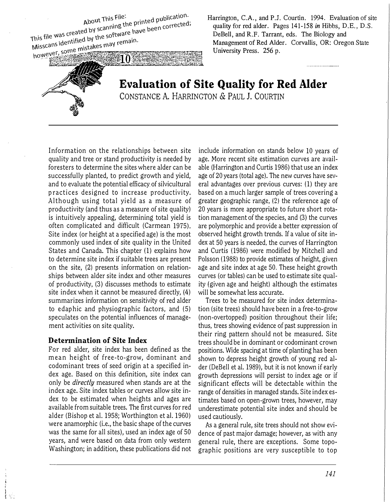About This File:<br>d by scanning the printed publication.<br>d by scanning that been corrected; t This File:<br>th s created by scanni<br>the soft the soft i t n w g the F<br>ware have

the printed publication: Harrington, C.A., and P.J. Courtin. 1994. Evaluation of site the printed publication:  $q$ uality for red alder. Pages 141-158 in Hibbs, D.E., D.S. This file was created by the software the source of the software the correct of Red Alder. The Biology and Management of Red Alder. Corvallis, OR: Oregon State Misscans identified by the software the main.<br>Management of Re

however, sullin

# Evaluation of Site Quality for Red Alder

CONSTANCE A. HARRINGTON & PAUL 1. COURTIN

Information on the relationships between site quality and tree or stand productivity is needed by foresters to determine the sites where alder can be successfully planted, to predict growth and yield, and to evaluate the potential efficacy. of silvicultural p ractices designed to increase productivity. Although using total yield as a measure of productivity (and thus as a measure of site quality) is intuitively appealing, determining total yield is often complicated and difficult (Carmean 1975). Site index (or height at a specified age) is the most commonly used index of site quality in the United States and Canada. This chapter (1) explains how to determine site index if suitable trees are present on the site, (2) presents information on relationships between alder site index and other measures of productivity, (3) discusses methods to estimate site index when it cannot be measured directly, (4) summarizes information on sensitivity of red alder to edaphic and physiographic factors, and (5) speculates on the potential influences of management activities on site quality.

#### Determination of Site Index

)

i ·.;-

For red alder, site index has been defined as the mean height of free-to-grow, dominant and codominant trees of seed origin at a specified index age. Based on this definition, site index can only be *directly* measured when stands are at the index age. Site index tables or curves allow site index to be estimated when heights and ages are available from suitable trees. The first curves for red alder (Bishop et a!. 1958; Worthington et a!. 1960) were anamorphic (i.e., the basic shape of the curves was the same for all sites), used an index age of 50 years, and were based on data from only western Washington; in addition, these publications did not

include information on stands below 10 years of age. More recent site estimation curves are available (Harrington and Curtis 1986) that use an index age of 20 years (total age). The new curves have several advantages over previous curves: (1) they are based on a much larger sample of trees covering a greater geographic range, (2) the reference age of 20 years is more appropriate to future short rotation management of the species, and (3) the curves are polymorphic and provide a better expression of observed height growth trends. If a value of site index at 50 years is needed, the curves of Harrington and Curtis (1986) were modified by Mitchell and Poisson (1988) to provide estimates of height, given age and site index at age 50. These height growth curves (or tables) can be used to estimate site quality (given age and height) although the estimates will be somewhat less accurate.

Trees to be measured for site index determination (site trees) should have been in a free-to-grow (non-overtopped) position throughout their life; thus, trees showing evidence of past suppression in their ring pattern should not be measured. Site trees should be in dominant or codominant crown positions. Wide spacing at time of planting has been shown to depress height growth of young red alder (DeBell et al. 1989), but it is not known if early growth depressions will persist to index age or if significant effects will be detectable within the range of densities in managed stands. Site index estimates based on open-grown trees, however, may underestimate potential site index and should be used cautiously.

As a general rule, site trees should not show evidence of past major damage; however, as with any general rule, there are exceptions. Some topographic positions are very susceptible to top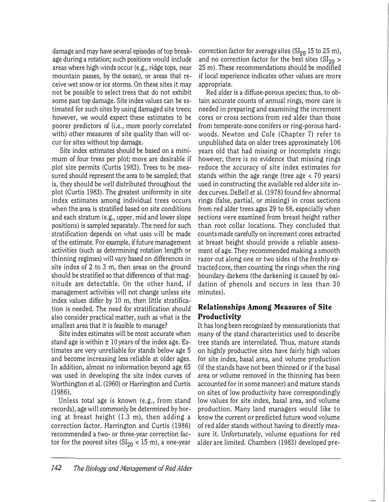damage and may have several episodes of top breakage during a rotation; such positions would include areas where high winds occur (e.g., ridge tops, near mountain passes, by the ocean), or areas that receive wet snow or ice storms. On these sites it may not be possible to select trees that do not exhibit some past top damage. Site index values can be estimated for such sites by using damaged site trees; however, we would expect these estimates to be poorer predictors of (i.e., more poorly correlated with) other measures of site quality than will occur for sites without top damage.

Site index estimates should be based on a minimum of four trees per plot; more are desirable if plot size permits (Curtis 1983). Trees to be measured should represent the area to be sampled; that is, they should be well distributed throughout the plot (Curtis 1983). The greatest uniformity in site index estimates among individual trees occurs when the area is stratified based on site conditions and each stratum (e.g., upper, mid and lower slope positions) is sampled separately. The need for such stratification depends on what uses will be made of the estimate. For example, if future management activities (such as determining rotation length or thinning regimes) will vary based on differences in site index of 2 to 3 m, then areas on the ground should be stratified so that differences of that magnitude are detectable. On the other hand, if management activities will not change unless site index values differ by 10 m, then little stratification is needed. The need for stratification should also consider practical matter, such as what is the smallest area that it is feasible to manage?

Site index estimates will be most accurate when stand age is within  $\pm$  10 years of the index age. Estimates are very unreliable for stands below age 5 and become increasing less reliable at older ages. In addition, almost no information beyond age 65 was used in developing the site index curves of Worthington et a!. (1960) or Harrington and Curtis (1986).

Unless total age is known (e.g., from stand records), age will commonly be determined by boring at breast height (1.3 m), then adding a correction factor. Harrington and Curtis (1986) recommended a two- or three-year correction factor for the poorest sites ( $SI_{20}$  < 15 m), a one-year correction factor for average sites ( $SI<sub>20</sub>$  15 to 25 m), and no correction factor for the best sites ( $SI<sub>20</sub>$ ) 25 m). These recommendations should be modified if local experience indicates other values are more appropriate.

Red alder is a diffuse-porous species; thus, to obtain accurate counts of annual rings, more care is needed in preparing and examining the increment cores or cross sections from red alder than those from temperate-zone conifers or ring-porous hardwoods. Newton and Cole (Chapter 7) refer to unpublished data on alder trees approximately 106 years old that had missing or incomplete rings; however, there is no evidence that missing rings reduce the accuracy of site index estimates for stands within the age range (tree age  $<$  70 years) used in constructing the available red alder site index curves. DeBell et a!. (1978) found few abnormal rings (false, partial, or missing) in cross sections from red alder trees ages 29 to 88, especially when sections were examined from breast height rather than root collar locations. They concluded that counts made carefully on increment cores extracted at breast height should provide a reliable assessment of age. They recommended making a smooth razor cut along one or two sides of the freshly extracted core, then counting the rings when the ring boundary darkens (the darkening is caused by oxidation of phenols and occurs in less than 30 minutes).

# Relationships Among Measures of Site Productivity

It has long been recognized by mensurationists that many of the stand characteristics used to describe tree stands are interrelated. Thus, mature stands on highly productive sites have fairly high values for site index, basal area, and volume production (if the stands have not been thinned or if the basal area or volume removed in the thinning has been accounted for in some manner) and mature stands on sites of low productivity have correspondingly low values for site index, basal area, and volume production. Many land managers would like to know the current or predicted future wood volume of red alder stands without having to directly measure it. Unfortunately, volume equations for red alder are limited. Chambers (1983) developed pre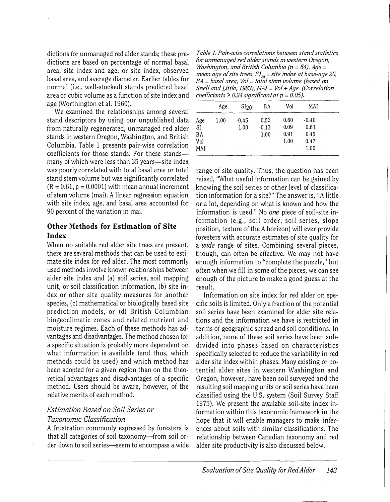dictions for unmanaged red alder stands; these predictions are based on percentage of normal basal area, site index and age, or site index, observed basal area, and average diameter. Earlier tables for normal (i.e., well-stocked) stands predicted basal area or cubic volume as a function of site index and age (Worthington et al. 1960).

We examined the relationships among several stand descriptors by using our unpublished data from naturally regenerated, unmanaged red alder stands in western Oregon, Washington, and British Columbia. Table 1 presents pair-wise correlation coefficients for those stands. For these standsmany of which were less than 35 years—site index was poorly correlated with total basal area or total stand stem volume but was significantly correlated  $(R = 0.61, p = 0.0001)$  with mean annual increment of stem volume (mai). A linear regression equation with site index, age, and basal area accounted for 90 percent of the variation in mai.

#### Other Methods for Estimation of Site Index

When no suitable red alder site trees are present, there are several methods that can be used to estimate site index for red alder. The most commonly used methods involve known relationships between alder site index and (a) soil series, soil mapping unit, or soil classification information, (b) site index or other site quality measures for another species, (c) mathematical or biologically based site prediction models, or (d) British Columbian biogeoclimatic zones and related nutrient and moisture regimes. Each of these methods has advantages and disadvantages. The method chosen for a specific situation is probably more dependent on what information is available (and thus, which methods could be used) and which method has been adopted for a given region than on the theoretical advantages and disadvantages of a specific method. Users should be aware, however, of the relative merits of each method.

#### Estimation Based on Soil Series or Taxonomic Classification

A frustration commonly expressed by foresters is that all categories of soil taxonomy-from soil order down to soil series-seem to encompass a wide

Table 1. Pair-wise correlations between stand statistics for unmanaged red alder stands in western Oregon, Washington, and British Columbia ( $n = 64$ ). Age = mean age of site trees,  $SI_{20}$  = site index at base-age 20, BA = basal area, Vol = total stem volume (based on Snell and Little, 1983), MAI = Vol  $\div$  Age. (Correlation coefficients  $\geq 0.24$  significant at  $p = 0.05$ ).

|     | Age  | Si <sub>20</sub> | BA      | Vol  | MAI     |
|-----|------|------------------|---------|------|---------|
| Age | 1.00 | $-0.45$          | 0.53    | 0.60 | $-0.40$ |
| SI  |      | 1.00             | $-0.13$ | 0.09 | 0.61    |
| BA  |      |                  | 1.00    | 0.91 | 0.45    |
| Vol |      |                  |         | 1.00 | 0.47    |
| MAI |      |                  |         |      | 1.00    |

range of site quality. Thus, the question has been raised, "What useful information can be gained by knowing the soil series or other level of classification information for a site?" The answer is, "A little or a lot, depending on what is known and how the information is used." No one piece of soil-site information (e.g., soil order, soil series, slope position, texture of the A horizon) will ever provide foresters with accurate estimates of site quality for a wide range of sites. Combining several pieces, though, can often be effective. We may not have enough information to "complete the puzzle," but often when we fill in some of the pieces, we can see enough of the picture to make a good guess at the result.

Information on site index for red alder on specific soils is limited. Only a fraction of the potential soil series have been examined for alder site relations and the information we have is restricted in terms of geographic spread and soil conditions. In addition, none of these soil series have been subdivided into phases based on characteristics specifically selected to reduce the variability in red alder site index within phases. Many existing or potential alder sites in western Washington and Oregon, however, have been soil surveyed and the resulting soil mapping units or soil series have been classified using the U.S. system (Soil Survey Staff 1975). We present the available soil-site index information within this taxonomic framework in the hope that it will enable managers to make inferences about soils with similar classifications. The relationship between Canadian taxonomy and red alder site productivity is also discussed below.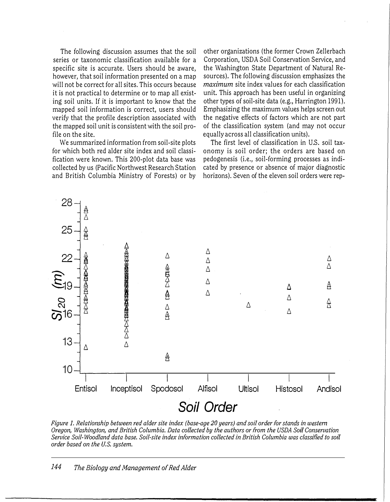The following discussion assumes that the soil series or taxonomic classification available for a specific site is accurate. Users should be aware, however, that soil information presented on a map will not be correct for all sites. This occurs because it is not practical to determine or to map all existing soil units. If it is important to know that the mapped soil information is correct, users should verify that the profile description associated with the mapped soil unit is consistent with the soil profile on the site.

We summarized information from soil-site plots for which both red alder site index and soil classification were known. This 200-plot data base was collected by us (Pacific Northwest Research Station and British Columbia Ministry of Forests) or by

other organizations (the former Crown Zellerbach Corporation, USDA Soil Conservation Service, and the Washington State Department of Natural Resources). The following discussion emphasizes the maximum site index values for each classification unit. This approach has been useful in organizing other types of soil-site data (e.g., Harrington 1991). Emphasizing the maximum values helps screen out the negative effects of factors which are not part of the classification system (and may not occur equally across all classification units).

The first level of classification in U.S. soil taxonomy is soil order; the orders are based on pedogenesis (i.e., soil-forming processes as indicated by presence or absence of major diagnostic horizons). Seven of the eleven soil orders were rep-



Figure 1. Relationship between red alder site index (base-age 20 years) and soil order for stands in western Oregon, Washington, and British Columbia. Data collected by the authors or from the USDA Soil Conservation Service Soil-Woodland data base. Soil-site index information collected in British Columbia was classified to soil order based on the U.S. system.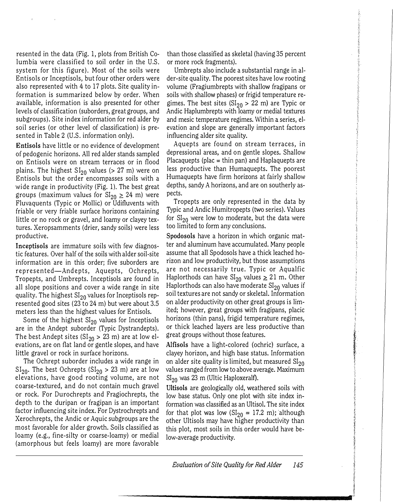resented in the data (Fig. 1, plots from British Columbia were classified to soil order in the U.S. system for this figure). Most of the soils were Entisols or Inceptisols, but four other orders were also represented with 4 to 17 plots. Site quality information is summarized below by order. When available, information is also presented for other levels of classification (suborders, great groups, and subgroups). Site index information for red alder by soil series (or other level of classification) is presented in Table 2 (U.S. information only).

Entisols have little or no evidence of development of pedogenic horizons. All red alder stands sampled on Entisols were on stream terraces or in flood plains. The highest  $Sl_{20}$  values (> 27 m) were on Entisols but the order encompasses soils with a wide range in productivity (Fig. 1). The best great groups (maximum values for  $SI_{20} \geq 24$  m) were Fluvaquents (Typic or Mollie) or Udifluvents with friable or very friable surface horizons containing little or no rock or gravel, and loamy or clayey textures. Xeropsamments (drier, sandy soils) were less productive.

Inceptisols are immature soils with few diagnostic features. Over half of the soils with alder soil-site information are in this order; five suborders are represented-Andepts, Aquepts, Ochrepts, Tropepts, and Umbrepts. lnceptisols are found in all slope positions and cover a wide range in site quality. The highest  $SI<sub>20</sub>$  values for Inceptisols represented good sites (23 to 24 m) but were about 3.5 meters less than the highest values for Entisols.

Some of the highest  $Sl_{20}$  values for Inceptisols are in the Andept suborder (Typic Dystrandepts). The best Andept sites ( $SI_{20} > 23$  m) are at low elevations, are on flat land or gentle slopes, and have little gravel or rock in surface horizons.

The Ochrept suborder includes a wide range in  $\mathrm{SI}_{20}$ . The best Ochrepts ( $\mathrm{SI}_{20}$  > 23 m) are at low elevations, have good rooting volume, are not coarse-textured, and do not contain much gravel or rock. For Durochrepts and Fragiochrepts, the depth to the duripan or fragipan is an important factor influencing site index. For Dystrochrepts and Xerochrepts, the Andie or Aquic subgroups are the most favorable for alder growth. Soils classified as loamy (e.g., fine-silty or coarse-loamy) or medial (amorphous but feels loamy) are more favorable than those classified as skeletal (having 35 percent or more rock fragments}.

Umbrepts also include a substantial range in alder-site quality. The poorest sites have low rooting volume (Fragiumbrepts with shallow fragipans or soils with shallow phases) or frigid temperature regimes. The best sites (SI $_{20}$  > 22 m) are Typic or Andie Haplumbrepts with loamy or medial textures and mesic temperature regimes. Within a series, elevation and slope are generally important factors influencing alder site quality.

Aquepts are found on stream terraces, in depressional areas, and on gentle slopes. Shallow Placaquepts (plac = thin pan) and Haplaquepts are less productive than Humaquepts. The poorest Humaquepts have firm horizons at fairly shallow depths, sandy A horizons, and are on southerly aspects.

Tropepts are only represented in the data by Typic and Andie Humitropepts (two series). Values for  $SI_{20}$  were low to moderate, but the data were too limited to form any conclusions.

----------------·" Spodosols have a horizon in which organic matter and aluminum have accumulated. Many people assume that all Spodosols have a thick leached horizon and low productivity, but those assumptions are not necessarily true. Typic or Aqualfic Haplorthods can have  $SI_{20}$  values  $\geq 21$  m. Other Haplorthods can also have moderate  $SI_{20}$  values if soil textures are not sandy or skeletal. Information on alder productivity on other great groups is limited; however, great groups with fragipans, placic horizons (thin pans), frigid temperature regimes, or thick leached layers are less productive than great groups without those features.

Alfisols have a light-colored (ochric) surface, a clayey horizon, and high base status. Information on alder site quality is limited, but measured  $SI<sub>20</sub>$ values ranged from low to above average. Maximum  $\mathrm{SI}_{20}$  was 23 m (Ultic Haploxeralf).

Ultisols are geologically old, weathered soils with low base status. Only one plot with site index information was classified as an Ultisol. The site index for that plot was low  $(SI_{20} = 17.2 \text{ m})$ ; although other Ultisols may have higher productivity than this plot, most soils in this order would have below-average productivity.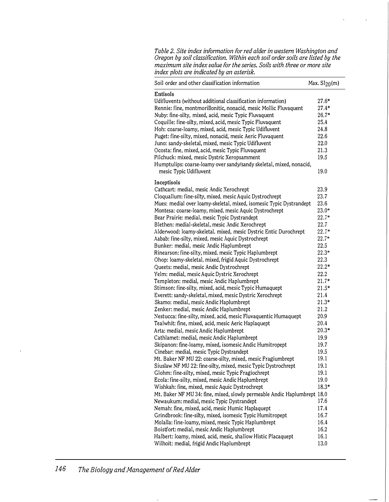Table 2. Site index information for red alder in western Washington and Oregon by soil classification. Within each soil order soils are listed by the maximum site index value for the series. Soils with three or more site index plots are indicated by an asterisk.

| Soil order and other classification information                          | Max. $\mathrm{SI}_{20}$ (m) |
|--------------------------------------------------------------------------|-----------------------------|
| Entisols                                                                 |                             |
| Udifluvents (without additional classification information)              | 27.6*                       |
| Rennie: fine, montmorillonitic, nonacid, mesic Mollic Fluvaquent         | $27.4*$                     |
| Nuby: fine-silty, mixed, acid, mesic Typic Fluvaquent                    | $26.7*$                     |
| Coquille: fine-silty, mixed, acid, mesic Typic Fluvaquent                | 25.4                        |
| Hoh: coarse-loamy, mixed, acid, mesic Typic Udifluvent                   | 24.8                        |
| Puget: fine-silty, mixed, nonacid, mesic Aeric Fluvaquent                | 22.6                        |
| Juno: sandy-skeletal, mixed, mesic Typic Udifluvent                      | 22.0                        |
| Ocosta: fine, mixed, acid, mesic Typic Fluvaquent                        | 21.3                        |
| Pilchuck: mixed, mesic Dystric Xeropsamment                              | 19.5                        |
| Humptulips: coarse-loamy over sandy/sandy skeletal, mixed, nonacid,      |                             |
| mesic Typic Udifluvent                                                   | 19.0                        |
| Inceptisols                                                              |                             |
| Cathcart: medial, mesic Andic Xerochrept                                 | 23.9                        |
| Cloquallum: fine-silty, mixed, mesic Aquic Dystrochrept                  | 23.7                        |
| Mues: medial over loamy-skeletal, mixed, isomesic Typic Dystrandept      | 23.6                        |
| Montesa: coarse-loamy, mixed, mesic Aquic Dystrochrept                   | $23.0*$                     |
| Bear Prairie: medial, mesic Typic Dystrandept                            | $22.7*$                     |
| Blethen: medial-skeletal, mesic Andic Xerochrept                         | 22.7                        |
| Alderwood: loamy-skeletal, mixed, mesic Dystric Entic Durochrept         | $22.7*$                     |
| Aabab: fine-silty, mixed, mesic Aquic Dystrochrept                       | $22.7*$                     |
| Bunker: medial, mesic Andic Haplumbrept                                  | 22.5                        |
| Rinearson: fine-silty, mixed, mesic Typic Haplumbrept                    | $22.3*$                     |
| Ohop: loamy-skeletal, mixed, frigid Aquic Dystrochrept                   | 22.3                        |
| Queets: medial, mesic Andic Dystrochrept                                 | $22.2*$                     |
| Yelm: medial, mesic Aquic Dystric Xerochrept                             | 22.2                        |
| Templeton: medial, mesic Andic Haplumbrept                               | $21.7*$                     |
| Stimson: fine-silty, mixed, acid, mesic Typic Humaquept                  | $21.5*$                     |
| Everett: sandy-skeletal, mixed, mesic Dystric Xerochrept                 | 21.4                        |
| Skamo: medial, mesic Andic Haplumbrept                                   | $21.3*$                     |
| Zenker: medial, mesic Andic Haplumbrept                                  | 21.2                        |
| Nestucca: fine-silty, mixed, acid, mesic Fluvaquentic Humaquept          | 20.9                        |
| Tealwhit: fine, mixed, acid, mesic Aeric Haplaquept                      | 20.4                        |
| Arta: medial, mesic Andic Haplumbrept                                    | $20.3*$                     |
| Cathlamet: medial, mesic Andic Haplumbrept                               | 19.9                        |
| Skipanon: fine-loamy, mixed, isomesic Andic Humitropept                  | 19.7                        |
| Cinebar: medial, mesic Typic Dystrandept                                 | 19.5                        |
| Mt. Baker NF MU 22: coarse-silty, mixed, mesic Fragiumbrept              | 19.1                        |
|                                                                          | 19.1                        |
| Siuslaw NF MU 22: fine-silty, mixed, mesic Typic Dystrochrept            | 19.1                        |
| Glohm: fine-silty, mixed, mesic Typic Fragiochrept                       |                             |
| Ecola: fine-silty, mixed, mesic Andic Haplumbrept                        | 19.0                        |
| Wishkah: fine, mixed, mesic Aquic Dystrochrept                           | $18.3*$                     |
| Mt. Baker NF MU 34: fine, mixed, slowly permeable Andic Haplumbrept 18.0 |                             |
| Newaukum: medial, mesic Typic Dystrandept                                | 17.6                        |
| Nemah: fine, mixed, acid, mesic Humic Haplaquept                         | 17.4                        |
| Grindbrook: fine-silty, mixed, isomesic Typic Humitropept                | 16.7                        |
| Molalla: fine-loamy, mixed, mesic Typic Haplumbrept                      | 16.4                        |
| Boistfort: medial, mesic Andic Haplumbrept                               | 16.2                        |
| Halbert: loamy, mixed, acid, mesic, shallow Histic Placaquept            | 16.1                        |
| Wilhoit: medial, frigid Andic Haplumbrept                                | 13.0                        |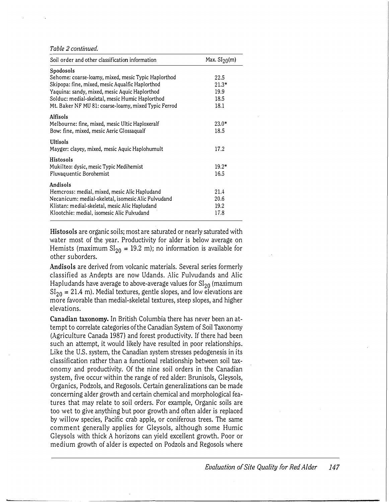Table 2 continued.

| Soil order and other classification information                                                                                                                                                                                                                                 | Max. $\mathrm{SI}_{20}(m)$              |
|---------------------------------------------------------------------------------------------------------------------------------------------------------------------------------------------------------------------------------------------------------------------------------|-----------------------------------------|
| Spodosols<br>Sehome: coarse-loamy, mixed, mesic Typic Haplorthod<br>Skipopa: fine, mixed, mesic Aqualfic Haplorthod<br>Yaquina: sandy, mixed, mesic Aquic Haplorthod<br>Solduc: medial-skeletal, mesic Humic Haplorthod<br>Mt. Baker NF MU 81: coarse-loamy, mixed Typic Ferrod | 22.5<br>$21.3*$<br>19.9<br>18.5<br>18.1 |
| <b>Alfisols</b><br>Melbourne: fine, mixed, mesic Ultic Haploxeralf<br>Bow: fine, mixed, mesic Aeric Glossaqualf                                                                                                                                                                 | $23.0*$<br>18.5                         |
| <b>Ultisols</b><br>Mayger: clayey, mixed, mesic Aquic Haplohumult                                                                                                                                                                                                               | 17.2                                    |
| Histosols<br>Mukilteo: dysic, mesic Typic Medihemist<br>Fluvaquentic Borohemist                                                                                                                                                                                                 | $19.2*$<br>16.5                         |
| Andisols<br>Hemcross: medial, mixed, mesic Alic Hapludand<br>Necanicum: medial-skeletal, isomesic Alic Fulvudand<br>Klistan: medial-skeletal, mesic Alic Hapludand<br>Klootchie: medial, isomesic Alic Fulvudand                                                                | 21.4<br>20.6<br>19.2<br>17.8            |

Histosols are organic soils; most are saturated or nearly saturated with water most of the year. Productivity for alder is below average on Hemists (maximum  $SI_{20} = 19.2$  m); no information is available for other suborders.

Andisols are derived from volcanic materials. Several series formerly classified as Andepts are now Udands. Alic Fulvudands and Alic Hapludands have average to above-average values for  $SI_{20}$  (maximum  $SI<sub>20</sub> = 21.4$  m). Medial textures, gentle slopes, and low elevations are more favorable than medial-skeletal textures, steep slopes, and higher elevations.

Canadian taxonomy. In British Columbia there has never been an attempt to correlate categories of the Canadian System of Soil Taxonomy (Agriculture Canada 1987) and forest productivity. If there had been such an attempt, it would likely have resulted in poor relationships. Like the U.S. system, the Canadian system stresses pedogenesis in its classification rather than a functional relationship between soil taxonomy and productivity. Of the nine soil orders in the Canadian system, five occur within the range of red alder: Brunisols, Gleysols, Organics, Podzols, and Regosols. Certain generalizations can be made concerning alder growth and certain chemical and morphological features that may relate to soil orders. For example, Organic soils are too wet to give anything but poor growth and often alder is replaced by willow species, Pacific crab apple, or coniferous trees. The same comment generally applies for Gleysols, although some Humic Gleysols with thick A horizons can yield excellent growth. Poor or medium growth of alder is expected on Podzols and Regosols where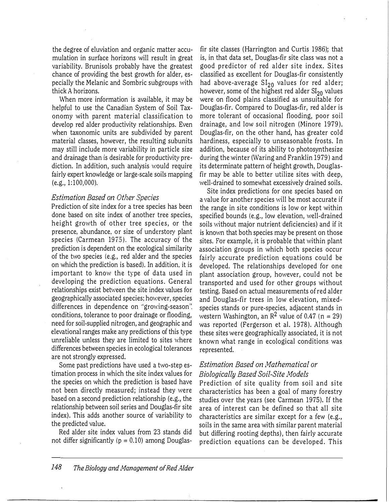the degree of eluviation and organic matter accumulation in surface horizons will result in great variability. Brunisols probably have the greatest chance of providing the best growth for alder, especially the Melanic and Sombric subgroups with thick A horizons.

When more information is available, it may be helpful to use the Canadian System of Soil Taxonomy with parent material classification to develop red alder productivity relationships. Even when taxonomic units are subdivided by parent material classes, however, the resulting subunits may still include more variability in particle size and drainage than is desirable for productivity prediction. In addition, such analysis would require fairly expert knowledge or large-scale soils mapping (e.g., 1:100,000).

#### Estimation Based on Other Species

Prediction of site index for a tree species has been done based on site index of another tree species, height growth of other tree species, or the presence, abundance, or size of understory plant species (Carmean 1975). The accuracy of the prediction is dependent on the ecological similarity of the two species (e.g., red alder and the species on which the prediction is based). In addition, it is important to know the type of data used in developing the prediction equations. General relationships exist between the site index values for geographically associated species; however, species differences in dependence on "growing-season". conditions, tolerance to poor drainage or flooding, need for soil-supplied nitrogen, and geographic and elevational ranges make any predictions of this type unreliable unless they are limited to sites where differences betvveen species in ecological tolerances are not strongly expressed.

Some past predictions have used a two-step estimation process in which the site index values for the species on which the prediction is based have not been directly measured; instead they were based on a second prediction relationship (e.g., the relationship between soil series and Douglas-fir site index). This adds another source of variability to the predicted value.

Red alder site index values from 23 stands did not differ significantly ( $p = 0.10$ ) among Douglas-

fir site classes (Harrington and Curtis 1986); that is, in that data set, Douglas-fir site class was not a good predictor of red alder site index. Sites classified as excellent for Douglas-fir consistently had above-average  $SI_{20}$  values for red alder; however, some of the highest red alder  $SI<sub>20</sub>$  values were on flood plains classified as unsuitable for Douglas-fir. Compared to Douglas-fir, red alder is more tolerant of occasional flooding, poor soil drainage, and low soil nitrogen (Minore 1979). Douglas-fir, on the other hand, has greater cold hardiness, especially to unseasonable frosts. In addition, because of its ability to photosynthesize during the winter (Waring and Franklin 1979) and its determinate pattern of height growth, Douglasfir may be able to better utilize sites with deep, well-drained to somewhat excessively drained soils.

Site index predictions for one species based on a value for another species will be most accurate if the range in site conditions is low or kept within specified bounds (e.g., low elevation, well-drained soils without major nutrient deficiencies) and if it is known that both species may be present on those sites. For example, it is probable that within plant association groups in which both species occur fairly accurate prediction equations could be developed. The relationships developed for one plant association group, however, could not be transported and used for other groups without testing. Based on actual measurements of red alder and Douglas-fir trees in low elevation, mixedspecies stands or pure-species, adjacent stands in western Washington, an  $R^2$  value of 0.47 ( $n = 29$ ) was reported (Fergerson et al. 1978). Although these sites were geographically associated, it is not known what range in ecological conditions was represented.

#### Estimation Based on Mathematical or Biologically Based Soil-Site Models

Prediction of site quality from soil and site characteristics has been a goal of many forestry studies over the years (see Carmean 1975). If the area of interest can be defined so that all site characteristics are similar except for a few (e.g., soils in the same area with similar parent material but differing rooting depths), then fairly accurate prediction equations can be developed. This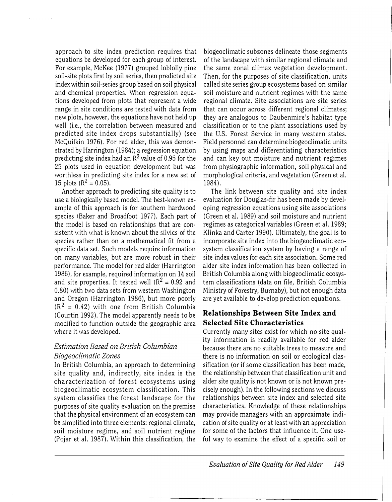approach to site index prediction requires that equations be developed for each group of interest. For example, McKee (1977) grouped loblolly pine soil-site plots first by soil series, then predicted site index within soil-series group based on soil physical and chemical properties. When regression equations developed from plots that represent a wide range in site conditions are tested with data from new plots, however, the equations have not held up well (i.e., the correlation between measured and predicted site index drops substantially) (see McQuilkin 1976). For red alder, this was demonstrated by Harrington (1984); a regression equation predicting site index had an  $R^2$  value of 0.95 for the 25 plots used in equation development but was worthless in predicting site index for a new set of 15 plots ( $R^2 = 0.05$ ).

Another approach to predicting site quality is to use a biologically based model. The best-known example of this approach is for southern hardwood species (Baker and Broadfoot 1977). Each part of the model is based on relationships that are consistent with what is known about the silvics of the species rather than on a mathematical fit from a specific data set. Such models require information on many variables, but are more robust in their performance. The model for red alder (Harrington 1986), for example, required information on 14 soil and site properties. It tested well  $(R^2 = 0.92$  and 0.80) with two data sets from western Washington and Oregon (Harrington 1986), but more poorly  $(R^2 = 0.42)$  with one from British Columbia (Courtin 1992). The model apparently needs to be modified to function outside the geographic area where it was developed.

## Estimation Based on British Columbian Biogeoclimatic Zones

In British Columbia, an approach to determining site quality and, indirectly, site index is the characterization of forest ecosystems using biogeoclimatic ecosystem classification. This system classifies the forest landscape for the purposes of site quality evaluation on the premise that the physical environment of an ecosystem can be simplified into three elements: regional climate, soil moisture regime, and soil nutrient regime (Pojar et al. 1987). Within this classification, the

biogeoclimatic subzones delineate those segments of the landscape with similar regional climate and the same zonal climax vegetation development. Then, for the purposes of site classification, units called site series group ecosystems based on similar soil moisture and nutrient regimes with the same regional climate. Site associations are site series that can occur across different regional climates; they are analogous to Daubenmire's habitat type classification or to the plant associations used by the U.S. Forest Service in many western states. Field personnel can determine biogeoclimatic units by using maps and differentiating characteristics and can key out moisture and nutrient regimes from physiographic information, soil physical and morphological criteria, and vegetation (Green et a!. 1984).

The link between site quality and site index evaluation for Douglas-fir has been made by developing regression equations using site associations (Green et a!. 1989) and soil moisture and nutrient regimes as categorical variables (Green et al. 1989; Klinka and Carter 1990). Ultimately, the goal is to incorporate site index into the biogeoclimatic ecosystem classification system by having a range of site index values for each site association. Some red alder site index information has been collected in British Columbia along with biogeoclimatic ecosystem classifications (data on file, British Columbia Ministry of Forestry, Burnaby), but not enough data are yet available to develop prediction equations.

# Relationships Between Site Index and Selected Site Characteristics

Currently many sites exist for which no site quality information is readily available for red alder because there are no suitable trees to measure and there is no information on soil or ecological classification (or if some classification has been made, the relationship between that classification unit and alder site quality is not known or is not known precisely enough). In the following sections we discuss relationships between site index and selected site characteristics. Knowledge of these relationships may provide managers with an approximate indication of site quality or at least with an appreciation for some of the factors that influence it. One useful way to examine the effect of a specific soil or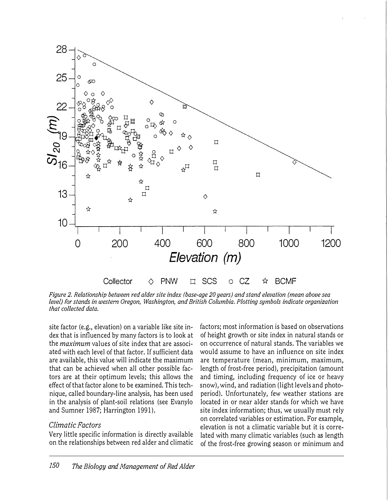

Figure 2. Relationship between red alder site index (base-age 20 years) and stand elevation (mean above sea level) for stands in western Oregon, Washington, and British Columbia. Plotting symbols indicate organization that collected data.

site factor (e.g., elevation) on a variable like site index that is influenced by many factors is to look at the *maximum* values of site index that are associated with each level of that factor. If sufficient data are available, this value will indicate the maximum that can be achieved when all other possible factors are at their optimum levels; this allows the effect of that factor alone to be examined. This technique, called boundary-line analysis, has been used in the analysis of plant-soil relations (see Evanylo and Sumner 1987; Harrington 1991).

#### Climatic Factors

Very little specific information is directly available on the relationships between red alder and climatic factors; most information is based on observations of height growth or site index in natural stands or on occurrence of natural stands. The variables we would assume to have an influence on site index are temperature (mean, minimum, maximum, length of frost-free period), precipitation (amount and timing, including frequency of ice or heavy snow), wind, and radiation (light levels and photoperiod). Unfortunately, few weather stations are located in or near alder stands for which we have site index information; thus; we usually must rely on correlated variables or estimation. For example, elevation is not a climatic variable but it is correlated with many climatic variables (such as length of the frost-free growing season or minimum and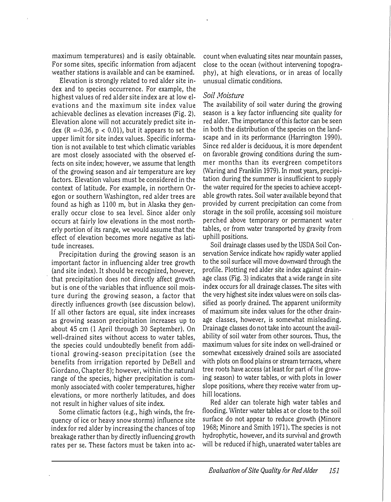maximum temperatures) and is easily obtainable. For some sites, specific information from adjacent weather stations is available and can be examined.

Elevation is strongly related to red alder site index and to species occurrence. For example, the highest values of red alder site index are at low elevations and the maximum site index value achievable declines as elevation increases (Fig. 2). Elevation alone will not accurately predict site index  $(R = 0.36, p < 0.01)$ , but it appears to set the upper limit for site index values. Specific information is not available to test which climatic variables are most closely associated with the observed effects on site index; however, we assume that length of the growing season and air temperature are key factors. Elevation values must be considered in the context of latitude. For example, in northern Oregon or southern Washington, red alder trees are found as high as 1100 m, but in Alaska they generally occur close to sea level. Since alder only occurs at fairly low elevations in the most northerly portion of its range, we would assume that the effect of elevation becomes more negative as latitude increases.

Precipitation during the growing season is an important factor in influencing alder tree growth (and site index). It should be recognized, however, that precipitation does not directly affect growth but is one of the variables that influence soil moisture during the growing season, a factor that directly influences growth (see discussion below). If all other factors are equal, site index increases as growing season precipitation increases up to about 45 em (1 April through 30 September). On well-drained sites without access to water tables, the species could undoubtedly benefit from additional growing-season precipitation (see the benefits from irrigation reported by DeBell and Giordano, Chapter 8); however, within the natural range of the species, higher precipitation is commonly associated with cooler temperatures, higher elevations, or more northerly latitudes, and does not result in higher values of site index.

Some climatic factors (e.g., high winds, the frequency of ice or heavy snow storms) influence site index for red alder by increasing the chances of top breakage rather than by directly influencing growth rates per se. These factors must be taken into account when evaluating sites near mountain passes, close to the ocean (without intervening topography), at high elevations, or in areas of locally unusual climatic conditions.

#### Soil Moisture

The availability of soil water during the growing season is a key factor influencing site quality for red alder. The importance of this factor can be seen in both the distribution of the species on the landscape and in its performance (Harrington 1990). Since red alder is deciduous, it is more dependent on favorable growing conditions during the summer months than its evergreen competitors (Waring and Franklin 1979). In most years, precipitation during the summer is insufficient to supply the water required for the species to achieve acceptable growth rates. Soil water available beyond that provided by current precipitation can come from storage in the soil profile, accessing soil moisture perched above temporary or permanent water tables, or from water transported by gravity from uphill positions.

Soil drainage classes used by the USDA Soil Conservation Service indicate how rapidly water applied to the soil surface will move downward through the profile. Plotting red alder site index against drainage class (Fig. 3) indicates that a wide range in site index occurs for all drainage classes. The sites with the very highest site index values were on soils classified as poorly drained. The apparent uniformity of maximum site index values for the other drainage classes, however, is somewhat misleading. Drainage classes do not take into account the availability of soil water from other sources. Thus, the maximum values for site index on well-drained or somewhat excessively drained soils are associated with plots on flood plains or stream terraces, where tree roots have access (at least for part of the growing season) to water tables, or with plots in lower slope positions, where they receive water from uphill locations.

Red alder can tolerate high water tables and flooding. Winter water tables at or close to the soil surface do not appear to reduce growth (Minore 1968; Minore and Smith 1971). The species is not hydrophytic, however, and its survival and growth will be reduced if high, unaerated water tables are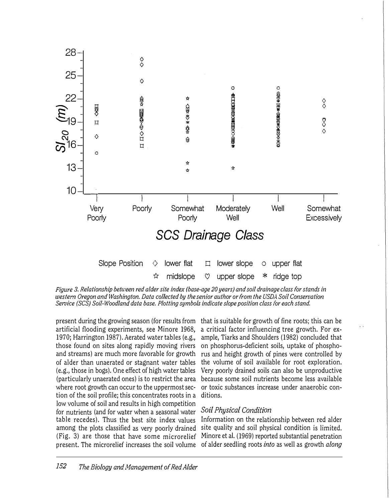

Figure 3. Relationship between red alder site index (base-age 20 years) and soil drainage class for stands in western Oregon and Washington. Data collected by the senior author or from the USDA Soil Conservation Service (SCS) Soil-Woodland data base. Plotting symbols indicate slope position class for each stand.

for nutrients (and for water when a seasonal water *Soil Physical Condition*<br>table recedes). Thus the best site index values Information on the relationship between red alder present during the growing season (for results from that is suitable for growth of fine roots; this can be tion of the soil profile; this concentrates roots in a ditions. low volume of soil and results in high competition among the plots classified as very poorly drained

artificial flooding experiments, see Minore 1968, a critical factor influencing tree growth. For ex-1970; Harrington 1987). Aerated water tables (e.g., ample, Tiarks and Shoulders (1982) concluded that those found on sites along rapidly moving rivers on phosphorus-deficient soils, uptake of phosphoand streams) are much more favorable for growth rus and height growth of pines were controlled by of alder than unaerated or stagnant water tables the volume of soil available for root exploration. (e.g., those in bogs). One effect of high water tables Very poorly drained soils can also be unproductive (particularly unaerated ones) is to restrict the area because some soil nutrients become less available where root growth can occur to the uppermost sec- or toxic substances increase under anaerobic con-

table recedes). Thus the best site index values Information on the relationship between red alder<br>among the plots classified as very poorly drained site quality and soil physical condition is limited. (Fig. 3) are those that have some microrelief Minore et al. (1969) reported substantial penetration present. The microrelief increases the soil volume of alder seedling roots *into* as well as growth *along*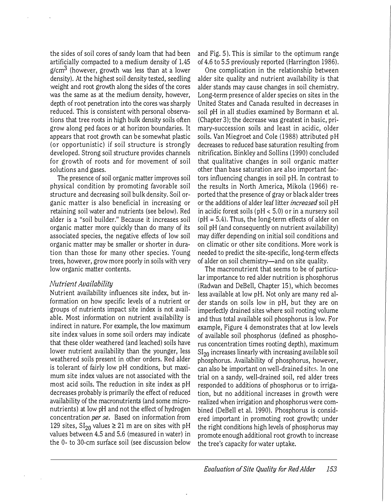the sides of soil cores of sandy loam that had been artificially compacted to a medium density of 1.45  $g/cm<sup>3</sup>$  (however, growth was less than at a lower density). At the highest soil density tested, seedling weight and root growth along the sides of the cores was the same as at the medium density, however, depth of root penetration into the cores was sharply reduced. This is consistent with personal observations that tree roots in high bulk density soils often grow along ped faces or at horizon boundaries. It appears that root growth can be somewhat plastic (or opportunistic) if soil structure is strongly developed. Strong soil structure provides channels for growth of roots and for movement of soil solutions and gases.

The presence of soil organic matter improves soil physical condition by promoting favorable soil structure and decreasing soil bulk density. Soil organic matter is also beneficial in increasing or retaining soil water and nutrients (see below). Red alder is a "soil builder." Because it increases soil organic matter more quickly than do many of its associated species, the negative effects of low soil organic matter may be smaller or shorter in duration than those for many other species. Young trees, however, grow more poorly in soils with very low organic matter contents.

#### Nutrient Availability

Nutrient availability influences site index, but information on how specific levels of a nutrient or groups of nutrients impact site index is not available. Most information on nutrient availability is indirect in nature. For example, the low maximum site index values in some soil orders may indicate that these older weathered (and leached) soils have lower nutrient availability than the younger, less weathered soils present in other orders. Red alder is tolerant of fairly low pH conditions, but maximum site index values are not associated with the most acid soils. The reduction in site index as pH decreases probably is primarily the effect of reduced availability of the macronutrients (and some micronutrients) at low pH and not the effect of hydrogen concentration per se. Based on information from 129 sites,  $SI_{20}$  values  $\geq$  21 m are on sites with pH values between 4.5 and 5.6 (measured in water) in the 0- to 30-cm surface soil (see discussion below and Fig. 5). This is similar to the optimum range of 4.6 to 5.5 previously reported (Harrington 1986).

One complication in the relationship between alder site quality and nutrient availability is that alder stands may cause changes in soil chemistry. Long-term presence of alder species on sites in the United States and Canada resulted in decreases in soil pH in all studies examined by Bormann et al. (Chapter 3); the decrease was greatest in basic, primary-succession soils and least in acidic, older soils. Van Miegroet and Cole (1988) attributed pH decreases to reduced base saturation resulting from nitrification. Binkley and Sollins (1990) concluded that qualitative changes in soil organic matter other than base saturation are also important factors influencing changes in soil pH. In contrast to the results in North America, Mikola (1966) reported that the presence of gray or black alder trees or the additions of alder leaf litter *increased* soil pH in acidic forest soils ( $pH < 5.0$ ) or in a nursery soil  $(pH = 5.4)$ . Thus, the long-term effects of alder on soil pH (and consequently on nutrient availability) may differ depending on initial soil conditions and on climatic or other site conditions. More work is needed to predict the site-specific, long-term effects of alder on soil chemistry-and on site quality.

The macronutrient that seems to be of particular importance to red alder nutrition is phosphorus (Radwan and DeBell, Chapter 15), which becomes less available at low pH. Not only are many red alder stands on soils low in pH, but they are on imperfectly drained sites where soil rooting volume and thus total available soil phosphorus is low. For example, Figure 4 demonstrates that at low levels of available soil phosphorus (defined as phosphorus concentration times rooting depth), maximum  $SI<sub>20</sub>$  increases linearly with increasing available soil phosphorus. Availability of phosphorus, however, can also be important on well-drained sites, In one trial on a sandy, well-drained soil, red alder trees responded to additions of phosphorus or to irrigation, but no additional increases in growth were realized when irrigation and phosphorus were combined (DeBell et al. 1990). Phosphorus is considered important in promoting root growth; under the right conditions high levels of phosphorus may promote enough additional root growth to increase the tree's capacity for water uptake.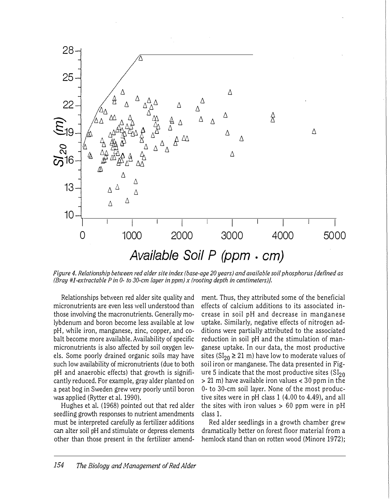

Figure 4. Relationship between red alder site index (base-age 20 years) and available soil phosphorus (defined as (Bray #]-extractable P in 0- to 30-cm layer in ppm) x (rooting depth in centimeters)}.

Relationships between red alder site quality and micronutrients are even less well understood than those involving the macronutrients. Generally molybdenum and boron become less available at low pH, while iron, manganese, zinc, copper, and cobalt become more available. Availability of specific micronutrients is also affected by soil oxygen levels. Some poorly drained organic soils may have such low availability of micronutrients (due to both pH and anaerobic effects) that growth is significantly reduced. For example, gray alder planted on a peat bog in Sweden grew very poorly until boron was applied (Rytter et al. 1990).

Hughes et al. ( 1968) pointed out that red alder seedling growth responses to nutrient amendments must be interpreted carefully as fertilizer additions can alter soil pH and stimulate or depress elements other than those present in the fertilizer amendment. Thus, they attributed some of the beneficial effects of calcium additions to its associated increase in soil pH and decrease in manganese uptake. Similarly, negative effects of nitrogen additions were partially attributed to the associated reduction in soil pH and the stimulation of manganese uptake. In our data, the most productive sites ( $SI_{20} \geq 21$  m) have low to moderate values of soil iron or manganese. The data presented in Figure 5 indicate that the most productive sites  $(SI_{20})$ > 21 m) have available iron values < 30 ppm in the 0- to 30-cm soil layer. None of the most productive sites were in pH class 1 (4.00 to 4.49), and all the sites with iron values  $> 60$  ppm were in pH class 1.

Red alder seedlings in a growth chamber grew dramatically better on forest floor material from a hemlock stand than on rotten wood (Minore 1972);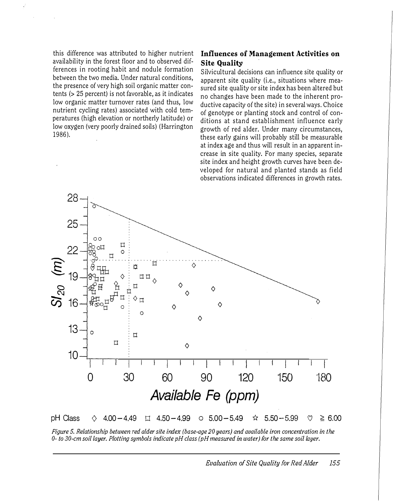this difference was attributed to higher nutrient availability in the forest floor and to observed differences in rooting habit and nodule formation between the two media. Under natural conditions, the presence of very high soil organic matter contents (> 25 percent) is not favorable, as it indicates low organic matter turnover rates (and thus, low nutrient cycling rates) associated with cold temperatures (high elevation or northerly latitude) or low oxygen (very poorly drained soils) (Harrington 1986).

#### Influences of Management Activities on · Site Quality

Silvicultural decisions can influence site quality or apparent site quality (i.e., situations where measured site quality or site index has been altered but no changes have been made to the inherent productive capacity of the site) in several ways. Choice of genotype or planting stock and control of conditions at stand establishment influence early growth of red alder. Under many circumstances, these early gains will probably still be measurable at index age and thus will result in an apparent increase in site quality. For many species, separate site index and height growth curves have been developed for natural and planted stands as field observations indicated differences in growth rates.



Figure 5. Relationship between red alder site index (base-age 20 years) and available iron concentration in the 0- to 30-cm soil layer. Plotting symbols indicate pH class (pH measured in water) for the same soil layer.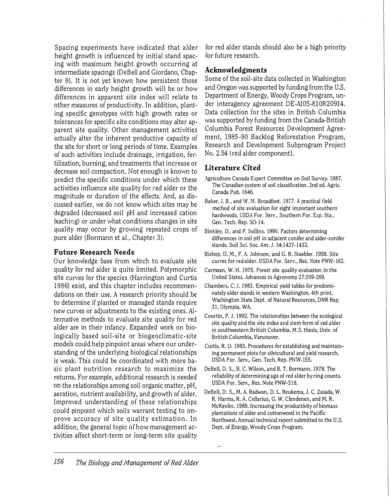Spacing experiments have indicated that alder height growth is influenced by initial stand spacing with maximum height growth occurring at intermediate spacings (DeBell and Giordano, Chapter 8). It is not yet known how persistent those differences in early height growth will be or how differences in apparent site index will relate to other measures of productivity. In addition, planting specific genotypes with high growth rates or tolerances for specific site conditions may alter apparent site quality. Other management activities actually alter the inherent productive capacity of the site for short or long periods of time. Examples of such activities include drainage, irrigation, fertilization, burning, and treatments that increase or decrease soil compaction. Not enough is known to predict the specific conditions under which these activities influence site qua lity for red alder or the magnitude or duration of the effects. And, as discussed earlier, we do not know \Vhich sites may be degraded (decreased soil pH and increased cation leaching) or under what conditions changes in site quality may occur by growing repeated crops of pure alder (Bormann et al., Chapter 3).

#### Future Research Needs

Our knowledge base from which to evaluate site quality for red alder is quite limited. Polymorphic site curves for the species (Harrington and Curtis 1986) ex ist, and this chapter includes recommendations on their use. A research priority should be to determine if planted or managed stands require new curves or adjustments to the existing ones. Alternative methods to evaluate site quality for red alder are in their infancy. Expanded work on biologically based soil-site or biogeoclimatic-site models could help pinpoint areas where our understanding of the underlying biological relationships is weak. This could be coordinated with more basic plant nutrition research to maximize the returns. For example, additional research is needed on the relationships among soil organic matter, pH, aeration, nutrient availabi lity, and growth of alder. Improved understanding of these relationships could pinpoint which soils warrant testing to improve accuracy of site quality estimation. In addition, the general topic of how management activities affect short-term or long-term site quality for red alder stands should also be a high priority for future research.

## Acknowledgments

Some of the soil-site data collected in Washington and Oregon was supported by funding from the U.S. Department of Energy, Woody Crops Program, under interagency agreement DE-AI05-810R20914. Data collection for the sites in British Columbia was supported by funding from the Canada-British Columbia Forest Resources Development Agreement, 1985-90 Backlog Reforestation Program, Research and Development Subprogram Project No. 2.54 (red alder component).

## Literature Cited

- Agriculture Canada Expert Committee on Soil Survey. 1987. The Canadian system of soil classification. 2nd ed. Agric. Canada Pub. 1646.
- Baker, J. B., and W. M. Broadfoot. 1977. A practical field method of site evaluation for eight important southern hardwoods. USDA For. Serv., Southern For. Exp. Sta., Gen. Tech. Rep. S0-14.
- Binkley, D., and P. Sollins. 1990. Factors determining differences in soil pH in adjacent conifer and alder-conifer stands. Soil Sci. Soc. Am. J. 54:1427-1433.
- Bishop, D. M., F. A. Johnson, and G. R. Staebler. 1958. Site curves for red alder. USDA For. Serv., Res. Note PNW-162.
- Carmean, W. H. 1975. Forest site quality evaluation in the United States. Advances in Agronomy 27:209-269.
- Chambers, C. J. 1983. Empirical yield tables for predominately alder stands in western Washington. 4th print. Washington State Dept. of Natural Resources, DNR Rep. 31. Olympia, WA.
- Courtin, P. J. 1992. The relationships between the ecological site quality and the site index and stem form of red alder in southwestern British Columbia. M.S. thesis, Univ. of British Columbia, Vancouver.
- Curtis, R. 0. 1983. Procedures for establishing and maintaining permanent plots for silvicultural and yield research. USDA For. Serv., Gen. Tech. Rep. PNW-155.
- DeBell, D. S., B. C. Wilson, and B. T. Bormann. 1978. The reliability of determining age of red alder by ring counts. USDA For. Serv., Res. Note PNW-318.
- DeBell, D. S., M. A. Radwan, D. L. Reukema, J. C. Zasada, W. R. Harms, R. A. Cellarius, G. W. Clendenen, and M. R. McKevlin. 1989. Increasing the productivity of biomass plantations of alder and cottonwood in the Pacific Northwest. Annual technical report submitted to the U.S. Dept. of Energy, Woody Crops Program.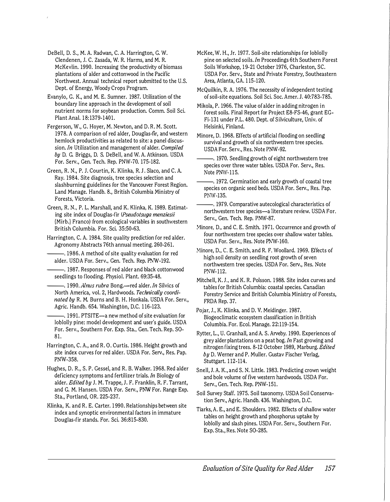DeBell, D. S., M. A. Radwan, C. A. Harrington, G. W. Clendenen, J. C. Zasada, W. R. Harms, and M. R. McKevlin. 1990. Increasing the productivity of biomass plantations of alder and cottonwood in the Pacific Northwest. Annual technical report submitted to the U.S. Dept. of Energy, Woody Crops Program.

Evanylo, G. K., and M. E. Sumner. 1987. Utilization of the boundary line approach in the development of soil nutrient norms for soybean production. Comm. Soil Sci. Plant Anal. 1 8: 1379-1401.

Fergerson, W., G. Hoyer, M. Newton, and D.R. M. Scott. 1978. A comparison of red alder, Douglas-fir, and western hemlock productivities as related to site: a panel discussion. In Utilization and management of alder. Compiled by D. G. Briggs, D. S. DeBell, and W. A. Atkinson. USDA For. Serv., Gen. Tech. Rep. PNW-70. 175-182.

Green, R. N., P. J. Courtin, K. Klinka, R. J. Slaco, and C. A. Ray. 1984. Site diagnosis, tree species selection and slashburning guidelines for the Vancouver Forest Region. Land Manage. Handb. 8., British Columbia Ministry of Forests, Victoria.

Green, R. N., P. L. Marshall, and K. Klinka, K. 1989. Estimating site index of Douglas-fir (Pseudotsuga menziesii {Mirb.} Franco) from ecological variables in southwestern British Columbia. For. Sci. 35:50-63.

Harrington, C. A. 1984. Site quality prediction for red alder. Agronomy Abstracts 76th annual meeting. 260-261.

--. 1986. A method of site quality evaluation for red alder. USDA For. Serv., Gen. Tech. Rep. PNW-192.

--. 1987. Responses of red alder and black cottonwood seedlings to flooding. Physiol. Plant. 69:35-48.

-. 1990. Alnus rubra Bong.—red alder. In Silvics of North America, vol. 2, Hardwoods. Technically coordinated by R. M. Burns and B. H. Honkala. USDA For. Serv., Agric. Handb. 654. Washington, D.C. 116-123.

-. 1991. PTSITE—a new method of site evaluation for loblolly pine: model development and user's guide. USDA For. Serv., Southern For. Exp. Sta., Gen. Tech. Rep. S0 81.

Harrington, C. A., and R. O. Curtis. 1986. Height growth and site index curves for red alder. USDA For. Serv., Res. Pap. PNW-358.

Hughes, D. R., S. P. Gessel, and R. B. Walker. 1968. Red alder deficiency symptoms and fertilizer trials. In Biology of alder. Edited by J. M. Trappe, J. F. Franklin, R. F. Tarrant, and G. M. Hansen. USDA For. Serv., PNW For. Range Exp. Sta., Portland, OR. 225-237.

Klinka, K. and R. E. Carter. 1 990. Relationships between site index and synoptic environmental factors in immature Douglas-fir stands. For. Sci. 36:815-830.

McKee, W. H., Jr. 1977. Soil-site relationships for loblolly pine on selected soils. In Proceedings 6th Southern Forest Soils Workshop, 19-21 October 1976, Charleston, SC. USDA For. Serv., State and Private Forestry, Southeastern Area, Atlanta, GA. 1 15-120.

McQuilkin, R. A. 1976. The necessity of independent testing of soil-site equations. Soil Sci. Soc. Amer. J. 40:783-785.

Mikola, P. 1966. The value of alder in adding nitrogen in forest soils. Final Report for Project E8-FS-46, grant EG-Fi- 131 under P.L. 480. Dept. of Silviculture, Univ. of Helsinki, Finland.

Minore, D. 1968. Effects of artificial flooding on seedling survival and growth of six northwestern tree species. USDA For. Serv., Res. Note PNW-92.

--. 1970. Seedling growth of eight northwestern tree species over three water tables. USDA For. Serv., Res. Note PNW-115.

-. 1972. Germination and early growth of coastal tree species on organic seed beds. USDA For. Serv., Res. Pap. PNW-135.

--. 1979. Comparative autecological characteristics of northwestern tree species-a literature review. USDA For. Serv., Gen. Tech. Rep. PNW-87.

Minore, D., and C. E. Smith. 1971. Occurrence and growth of four northwestern tree species over shallow water tables. USDA For. Serv., Res. Note PNW-160.

Minore, D., C. E. Smith, and R. F. Woollard. 1969. Effects of high soil density on seedling root growth of seven northwestern tree species. USDA For. Serv., Res. Note PNW-112.

Mitchell, K. J., and K. R. Poisson. 1 988. Site index curves and tables for British Columbia: coastal species. Canadian Forestry Service and British Columbia Ministry of Forests, FRDA Rep. 37.

Pojar, J., K. Klinka, and D. V. Meidinger. 1987. Biogeoclimatic ecosystem classification in British Columbia. For. Ecol. Manage. 22:119-154.

Rytter, L., U. Granhall, and A. S. Arveby. 1990. Experiences of grey alder plantations on a peat bog. In Fast growing and nitrogen fixing trees. 8-12 October 1989, Marburg. Edited by D. Werner and P. Muller. Gustav Fischer Verlag, Stuttgart. 1 12-114.

Snell, J. A. K., and S. N. Little. 1983. Predicting crown weight and bole volume of five western hardwoods. USDA For. Serv., Gen. Tech. Rep. PNW-151.

Soil Survey Staff. 1975. Soil taxonomy. USDA Soil Conservation Serv., Agric. Handb. 436. Washington, D.C.

Tiarks, A. E., and E. Shoulders. 1982. Effects of shallow water tables on height growth and phosphorus uptake by loblolly and slash pines. USDA For. Serv., Southern For. Exp. Sta., Res. Note S0-285.